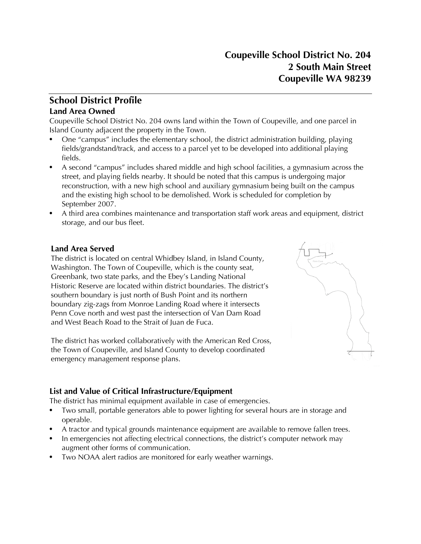# **School District Profile Land Area Owned**

Coupeville School District No. 204 owns land within the Town of Coupeville, and one parcel in Island County adjacent the property in the Town.

- One "campus" includes the elementary school, the district administration building, playing fields/grandstand/track, and access to a parcel yet to be developed into additional playing fields.
- A second "campus" includes shared middle and high school facilities, a gymnasium across the street, and playing fields nearby. It should be noted that this campus is undergoing major reconstruction, with a new high school and auxiliary gymnasium being built on the campus and the existing high school to be demolished. Work is scheduled for completion by September 2007.
- A third area combines maintenance and transportation staff work areas and equipment, district storage, and our bus fleet.

### **Land Area Served**

The district is located on central Whidbey Island, in Island County, Washington. The Town of Coupeville, which is the county seat, Greenbank, two state parks, and the Ebey's Landing National Historic Reserve are located within district boundaries. The district's southern boundary is just north of Bush Point and its northern boundary zig-zags from Monroe Landing Road where it intersects Penn Cove north and west past the intersection of Van Dam Road and West Beach Road to the Strait of Juan de Fuca.

The district has worked collaboratively with the American Red Cross, the Town of Coupeville, and Island County to develop coordinated emergency management response plans.

# **List and Value of Critical Infrastructure/Equipment**

The district has minimal equipment available in case of emergencies.

- Two small, portable generators able to power lighting for several hours are in storage and operable.
- A tractor and typical grounds maintenance equipment are available to remove fallen trees.
- In emergencies not affecting electrical connections, the district's computer network may augment other forms of communication.
- Two NOAA alert radios are monitored for early weather warnings.

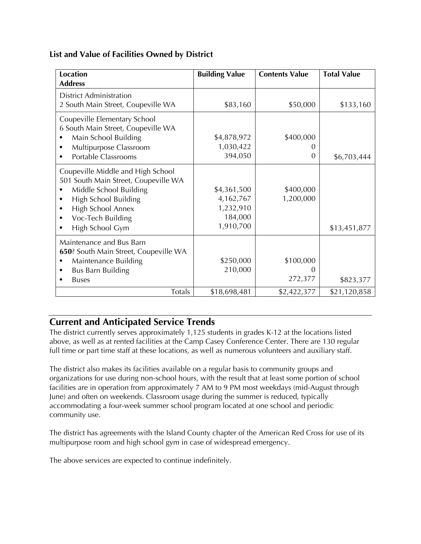#### **List and Value of Facilities Owned by District**

| <b>Location</b>                                                                                                                                                                          | <b>Building Value</b>                                         | <b>Contents Value</b>            | <b>Total Value</b> |
|------------------------------------------------------------------------------------------------------------------------------------------------------------------------------------------|---------------------------------------------------------------|----------------------------------|--------------------|
| <b>Address</b>                                                                                                                                                                           |                                                               |                                  |                    |
| <b>District Administration</b><br>2 South Main Street, Coupeville WA                                                                                                                     | \$83,160                                                      | \$50,000                         | \$133,160          |
| Coupeville Elementary School<br>6 South Main Street, Coupeville WA<br>Main School Building<br>Multipurpose Classroom<br>Portable Classrooms                                              | \$4,878,972<br>1,030,422<br>394,050                           | \$400,000<br>0<br>$\Omega$       | \$6,703,444        |
| Coupeville Middle and High School<br>501 South Main Street, Coupeville WA<br>Middle School Building<br>High School Building<br>High School Annex<br>Voc-Tech Building<br>High School Gym | \$4,361,500<br>4,162,767<br>1,232,910<br>184,000<br>1,910,700 | \$400,000<br>1,200,000           | \$13,451,877       |
| Maintenance and Bus Barn<br>650? South Main Street, Coupeville WA<br>Maintenance Building<br><b>Bus Barn Building</b><br><b>Buses</b>                                                    | \$250,000<br>210,000                                          | \$100,000<br>$\theta$<br>272,377 | \$823,377          |
| Totals                                                                                                                                                                                   | \$18,698,481                                                  | \$2,422,377                      | \$21,120,858       |

### **Current and Anticipated Service Trends**

The district currently serves approximately 1,125 students in grades K-12 at the locations listed above, as well as at rented facilities at the Camp Casey Conference Center. There are 130 regular full time or part time staff at these locations, as well as numerous volunteers and auxiliary staff.

The district also makes its facilities available on a regular basis to community groups and organizations for use during non-school hours, with the result that at least some portion of school facilities are in operation from approximately 7 AM to 9 PM most weekdays (mid-August through June) and often on weekends. Classroom usage during the summer is reduced, typically accommodating a four-week summer school program located at one school and periodic community use.

The district has agreements with the Island County chapter of the American Red Cross for use of its multipurpose room and high school gym in case of widespread emergency.

The above services are expected to continue indefinitely.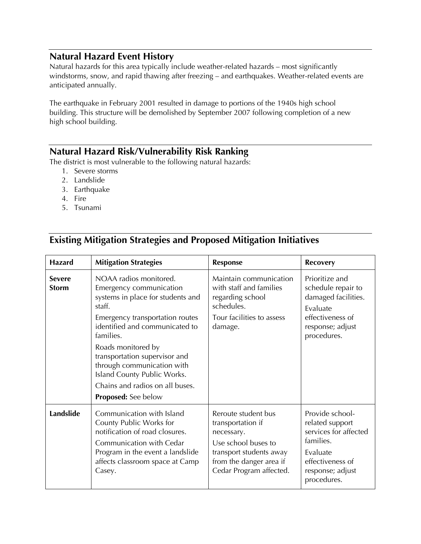#### **Natural Hazard Event History**

Natural hazards for this area typically include weather-related hazards – most significantly windstorms, snow, and rapid thawing after freezing – and earthquakes. Weather-related events are anticipated annually.

The earthquake in February 2001 resulted in damage to portions of the 1940s high school building. This structure will be demolished by September 2007 following completion of a new high school building.

# **Natural Hazard Risk/Vulnerability Risk Ranking**

The district is most vulnerable to the following natural hazards:

- 1. Severe storms
- 2. Landslide
- 3. Earthquake
- 4. Fire
- 5. Tsunami

# **Existing Mitigation Strategies and Proposed Mitigation Initiatives**

| <b>Hazard</b>                 | <b>Mitigation Strategies</b>                                                                                                                                                                                                                                                                                                                                            | <b>Response</b>                                                                                                                                                | <b>Recovery</b>                                                                                                                             |
|-------------------------------|-------------------------------------------------------------------------------------------------------------------------------------------------------------------------------------------------------------------------------------------------------------------------------------------------------------------------------------------------------------------------|----------------------------------------------------------------------------------------------------------------------------------------------------------------|---------------------------------------------------------------------------------------------------------------------------------------------|
| <b>Severe</b><br><b>Storm</b> | NOAA radios monitored.<br>Emergency communication<br>systems in place for students and<br>staff.<br>Emergency transportation routes<br>identified and communicated to<br>families.<br>Roads monitored by<br>transportation supervisor and<br>through communication with<br>Island County Public Works.<br>Chains and radios on all buses.<br><b>Proposed:</b> See below | Maintain communication<br>with staff and families<br>regarding school<br>schedules.<br>Tour facilities to assess<br>damage.                                    | Prioritize and<br>schedule repair to<br>damaged facilities.<br>Evaluate<br>effectiveness of<br>response; adjust<br>procedures.              |
| Landslide                     | Communication with Island<br>County Public Works for<br>notification of road closures.<br>Communication with Cedar<br>Program in the event a landslide<br>affects classroom space at Camp<br>Casey.                                                                                                                                                                     | Reroute student bus<br>transportation if<br>necessary.<br>Use school buses to<br>transport students away<br>from the danger area if<br>Cedar Program affected. | Provide school-<br>related support<br>services for affected<br>families.<br>Evaluate<br>effectiveness of<br>response; adjust<br>procedures. |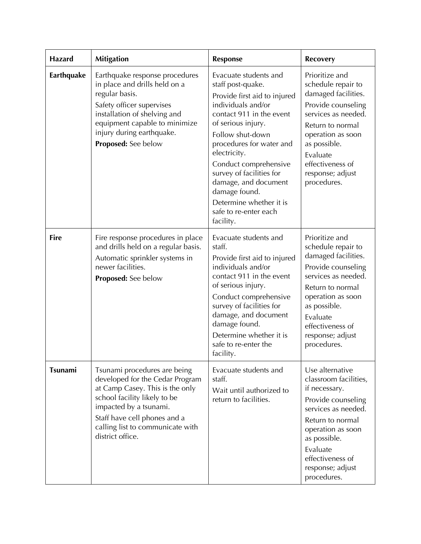| Hazard            | <b>Mitigation</b>                                                                                                                                                                                                                                    | <b>Response</b>                                                                                                                                                                                                                                                                                                                                                                   | <b>Recovery</b>                                                                                                                                                                                                                      |
|-------------------|------------------------------------------------------------------------------------------------------------------------------------------------------------------------------------------------------------------------------------------------------|-----------------------------------------------------------------------------------------------------------------------------------------------------------------------------------------------------------------------------------------------------------------------------------------------------------------------------------------------------------------------------------|--------------------------------------------------------------------------------------------------------------------------------------------------------------------------------------------------------------------------------------|
| <b>Earthquake</b> | Earthquake response procedures<br>in place and drills held on a<br>regular basis.<br>Safety officer supervises<br>installation of shelving and<br>equipment capable to minimize<br>injury during earthquake.<br>Proposed: See below                  | Evacuate students and<br>staff post-quake.<br>Provide first aid to injured<br>individuals and/or<br>contact 911 in the event<br>of serious injury.<br>Follow shut-down<br>procedures for water and<br>electricity.<br>Conduct comprehensive<br>survey of facilities for<br>damage, and document<br>damage found.<br>Determine whether it is<br>safe to re-enter each<br>facility. | Prioritize and<br>schedule repair to<br>damaged facilities.<br>Provide counseling<br>services as needed.<br>Return to normal<br>operation as soon<br>as possible.<br>Evaluate<br>effectiveness of<br>response; adjust<br>procedures. |
| <b>Fire</b>       | Fire response procedures in place<br>and drills held on a regular basis.<br>Automatic sprinkler systems in<br>newer facilities.<br><b>Proposed:</b> See below                                                                                        | Evacuate students and<br>staff.<br>Provide first aid to injured<br>individuals and/or<br>contact 911 in the event<br>of serious injury.<br>Conduct comprehensive<br>survey of facilities for<br>damage, and document<br>damage found.<br>Determine whether it is<br>safe to re-enter the<br>facility.                                                                             | Prioritize and<br>schedule repair to<br>damaged facilities.<br>Provide counseling<br>services as needed.<br>Return to normal<br>operation as soon<br>as possible.<br>Evaluate<br>effectiveness of<br>response; adjust<br>procedures. |
| Tsunami           | Tsunami procedures are being<br>developed for the Cedar Program<br>at Camp Casey. This is the only<br>school facility likely to be<br>impacted by a tsunami.<br>Staff have cell phones and a<br>calling list to communicate with<br>district office. | Evacuate students and<br>staff.<br>Wait until authorized to<br>return to facilities.                                                                                                                                                                                                                                                                                              | Use alternative<br>classroom facilities,<br>if necessary.<br>Provide counseling<br>services as needed.<br>Return to normal<br>operation as soon<br>as possible.<br>Evaluate<br>effectiveness of<br>response; adjust<br>procedures.   |